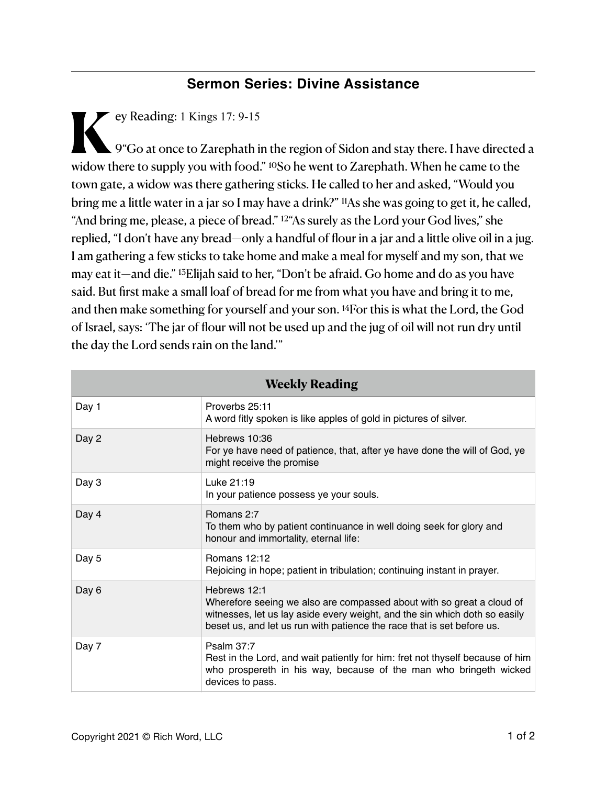## **Sermon Series: Divine Assistance**

**K**ey Reading: 1 Kings 17: 9-15  $\blacktriangle$  9 "Go at once to Zarephath in the region of Sidon and stay there. I have directed a widow there to supply you with food." 10So he went to Zarephath. When he came to the town gate, a widow was there gathering sticks. He called to her and asked, "Would you bring me a little water in a jar so I may have a drink?" 11As she was going to get it, he called, "And bring me, please, a piece of bread." 12"As surely as the Lord your God lives," she replied, "I don't have any bread—only a handful of flour in a jar and a little olive oil in a jug. I am gathering a few sticks to take home and make a meal for myself and my son, that we may eat it—and die." 13Elijah said to her, "Don't be afraid. Go home and do as you have said. But first make a small loaf of bread for me from what you have and bring it to me, and then make something for yourself and your son. 14For this is what the Lord, the God of Israel, says: 'The jar of flour will not be used up and the jug of oil will not run dry until the day the Lord sends rain on the land.'"

| <b>Weekly Reading</b> |                                                                                                                                                                                                                                               |
|-----------------------|-----------------------------------------------------------------------------------------------------------------------------------------------------------------------------------------------------------------------------------------------|
| Day 1                 | Proverbs 25:11<br>A word fitly spoken is like apples of gold in pictures of silver.                                                                                                                                                           |
| Day 2                 | Hebrews 10:36<br>For ye have need of patience, that, after ye have done the will of God, ye<br>might receive the promise                                                                                                                      |
| Day 3                 | Luke 21:19<br>In your patience possess ye your souls.                                                                                                                                                                                         |
| Day 4                 | Romans 2:7<br>To them who by patient continuance in well doing seek for glory and<br>honour and immortality, eternal life:                                                                                                                    |
| Day 5                 | Romans 12:12<br>Rejoicing in hope; patient in tribulation; continuing instant in prayer.                                                                                                                                                      |
| Day 6                 | Hebrews 12:1<br>Wherefore seeing we also are compassed about with so great a cloud of<br>witnesses, let us lay aside every weight, and the sin which doth so easily<br>beset us, and let us run with patience the race that is set before us. |
| Day 7                 | Psalm 37:7<br>Rest in the Lord, and wait patiently for him: fret not thyself because of him<br>who prospereth in his way, because of the man who bringeth wicked<br>devices to pass.                                                          |